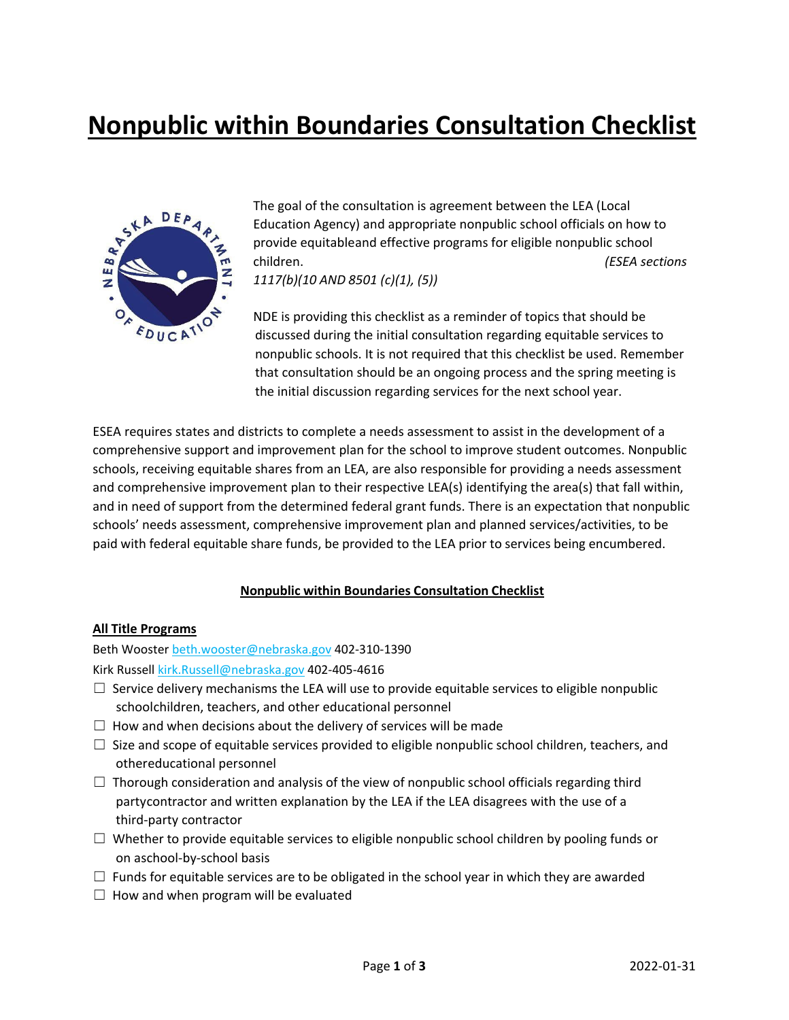# **Nonpublic within Boundaries Consultation Checklist**



The goal of the consultation is agreement between the LEA (Local Education Agency) and appropriate nonpublic school officials on how to provide equitableand effective programs for eligible nonpublic school children. *(ESEA sections 1117(b)(10 AND 8501 (c)(1), (5))*

NDE is providing this checklist as a reminder of topics that should be discussed during the initial consultation regarding equitable services to nonpublic schools. It is not required that this checklist be used. Remember that consultation should be an ongoing process and the spring meeting is the initial discussion regarding services for the next school year.

ESEA requires states and districts to complete a needs assessment to assist in the development of a comprehensive support and improvement plan for the school to improve student outcomes. Nonpublic schools, receiving equitable shares from an LEA, are also responsible for providing a needs assessment and comprehensive improvement plan to their respective LEA(s) identifying the area(s) that fall within, and in need of support from the determined federal grant funds. There is an expectation that nonpublic schools' needs assessment, comprehensive improvement plan and planned services/activities, to be paid with federal equitable share funds, be provided to the LEA prior to services being encumbered.

#### **Nonpublic within Boundaries Consultation Checklist**

#### **All Title Programs**

Beth Wooster beth.wooster@nebraska.gov 402-310-1390

Kirk Russell kirk.Russell@nebraska.gov 402-405-4616

- $\Box$  Service delivery mechanisms the LEA will use to provide equitable services to eligible nonpublic schoolchildren, teachers, and other educational personnel
- $\Box$  How and when decisions about the delivery of services will be made
- $\Box$  Size and scope of equitable services provided to eligible nonpublic school children, teachers, and othereducational personnel
- $\Box$  Thorough consideration and analysis of the view of nonpublic school officials regarding third partycontractor and written explanation by the LEA if the LEA disagrees with the use of a third-party contractor
- $\Box$  Whether to provide equitable services to eligible nonpublic school children by pooling funds or on aschool-by-school basis
- $\Box$  Funds for equitable services are to be obligated in the school year in which they are awarded
- $\Box$  How and when program will be evaluated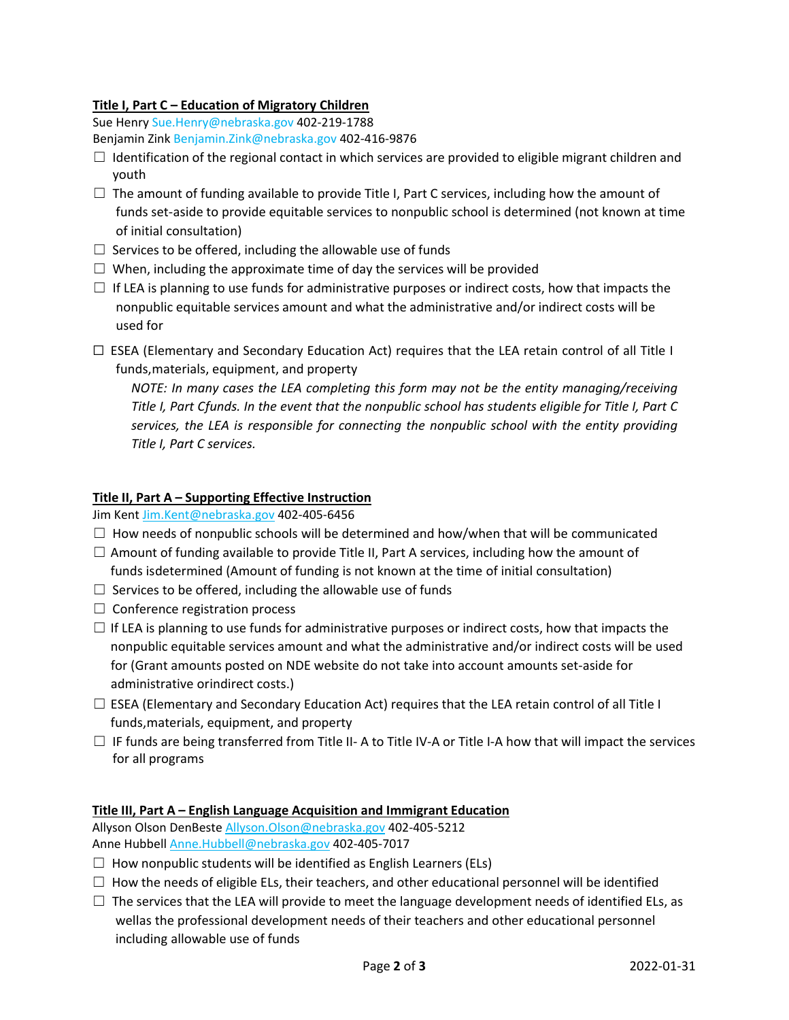### **Title I, Part C – Education of Migratory Children**

Sue Henry Sue.Henry@nebraska.gov 402-219-1788 Benjamin Zink Benjamin.Zink@nebraska.gov 402-416-9876

- $\Box$  Identification of the regional contact in which services are provided to eligible migrant children and youth
- $\Box$  The amount of funding available to provide Title I, Part C services, including how the amount of funds set-aside to provide equitable services to nonpublic school is determined (not known at time of initial consultation)
- $\Box$  Services to be offered, including the allowable use of funds
- $\Box$  When, including the approximate time of day the services will be provided
- $\Box$  If LEA is planning to use funds for administrative purposes or indirect costs, how that impacts the nonpublic equitable services amount and what the administrative and/or indirect costs will be used for
- $\Box$  ESEA (Elementary and Secondary Education Act) requires that the LEA retain control of all Title I funds,materials, equipment, and property

*NOTE: In many cases the LEA completing this form may not be the entity managing/receiving Title I, Part Cfunds. In the event that the nonpublic school has students eligible for Title I, Part C services, the LEA is responsible for connecting the nonpublic school with the entity providing Title I, Part C services.*

### **Title II, Part A – Supporting Effective Instruction**

Jim Kent Jim.Kent@nebraska.gov 402-405-6456

- $\Box$  How needs of nonpublic schools will be determined and how/when that will be communicated
- $\Box$  Amount of funding available to provide Title II, Part A services, including how the amount of funds isdetermined (Amount of funding is not known at the time of initial consultation)
- $\Box$  Services to be offered, including the allowable use of funds
- $\Box$  Conference registration process
- $\Box$  If LEA is planning to use funds for administrative purposes or indirect costs, how that impacts the nonpublic equitable services amount and what the administrative and/or indirect costs will be used for (Grant amounts posted on NDE website do not take into account amounts set-aside for administrative orindirect costs.)
- $\Box$  ESEA (Elementary and Secondary Education Act) requires that the LEA retain control of all Title I funds,materials, equipment, and property
- $\Box$  IF funds are being transferred from Title II- A to Title IV-A or Title I-A how that will impact the services for all programs

## **Title III, Part A – English Language Acquisition and Immigrant Education**

Allyson Olson DenBeste Allyson.Olson@nebraska.gov 402-405-5212 Anne Hubbell Anne.Hubbell@nebraska.gov 402-405-7017

- $\Box$  How nonpublic students will be identified as English Learners (ELs)
- $\Box$  How the needs of eligible ELs, their teachers, and other educational personnel will be identified
- $\Box$  The services that the LEA will provide to meet the language development needs of identified ELs, as wellas the professional development needs of their teachers and other educational personnel including allowable use of funds